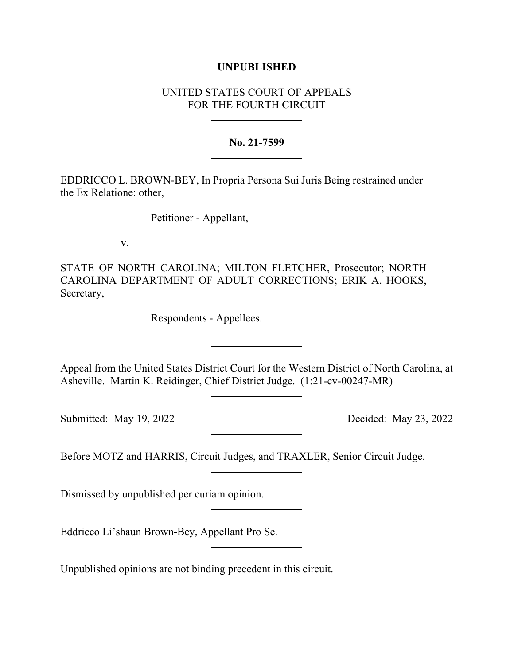## **UNPUBLISHED**

## UNITED STATES COURT OF APPEALS FOR THE FOURTH CIRCUIT

## **No. 21-7599**

EDDRICCO L. BROWN-BEY, In Propria Persona Sui Juris Being restrained under the Ex Relatione: other,

Petitioner - Appellant,

v.

STATE OF NORTH CAROLINA; MILTON FLETCHER, Prosecutor; NORTH CAROLINA DEPARTMENT OF ADULT CORRECTIONS; ERIK A. HOOKS, Secretary,

Respondents - Appellees.

Appeal from the United States District Court for the Western District of North Carolina, at Asheville. Martin K. Reidinger, Chief District Judge. (1:21-cv-00247-MR)

Submitted: May 19, 2022 Decided: May 23, 2022

Before MOTZ and HARRIS, Circuit Judges, and TRAXLER, Senior Circuit Judge.

Dismissed by unpublished per curiam opinion.

Eddricco Li'shaun Brown-Bey, Appellant Pro Se.

Unpublished opinions are not binding precedent in this circuit.